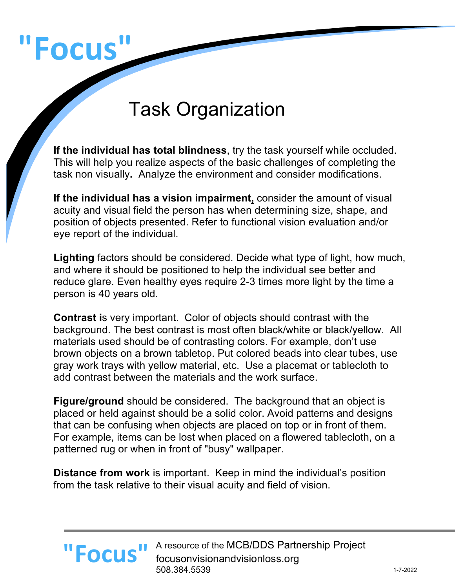# **"Focus"**

# Task Organization

**If the individual has total blindness**, try the task yourself while occluded. This will help you realize aspects of the basic challenges of completing the task non visually**.** Analyze the environment and consider modifications.

**If the individual has a vision impairment,** consider the amount of visual acuity and visual field the person has when determining size, shape, and position of objects presented. Refer to functional vision evaluation and/or eye report of the individual.

**Lighting** factors should be considered. Decide what type of light, how much, and where it should be positioned to help the individual see better and reduce glare. Even healthy eyes require 2-3 times more light by the time a person is 40 years old.

**Contrast i**s very important. Color of objects should contrast with the background. The best contrast is most often black/white or black/yellow. All materials used should be of contrasting colors. For example, don't use brown objects on a brown tabletop. Put colored beads into clear tubes, use gray work trays with yellow material, etc. Use a placemat or tablecloth to add contrast between the materials and the work surface.

**Figure/ground** should be considered. The background that an object is placed or held against should be a solid color. Avoid patterns and designs that can be confusing when objects are placed on top or in front of them. For example, items can be lost when placed on a flowered tablecloth, on a patterned rug or when in front of "busy" wallpaper.

**Distance from work** is important. Keep in mind the individual's position from the task relative to their visual acuity and field of vision.



A resource of the MCB/DDS Partnership Project focusonvisionandvisionloss.org 508.384.5539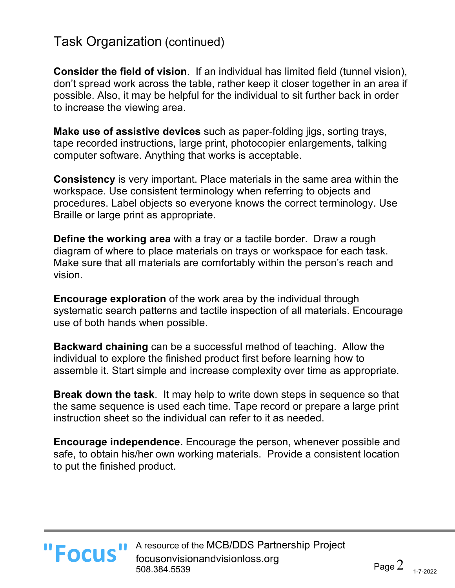### Task Organization (continued)

**Consider the field of vision**. If an individual has limited field (tunnel vision), don't spread work across the table, rather keep it closer together in an area if possible. Also, it may be helpful for the individual to sit further back in order to increase the viewing area.

**Make use of assistive devices** such as paper-folding jigs, sorting trays, tape recorded instructions, large print, photocopier enlargements, talking computer software. Anything that works is acceptable.

**Consistency** is very important. Place materials in the same area within the workspace. Use consistent terminology when referring to objects and procedures. Label objects so everyone knows the correct terminology. Use Braille or large print as appropriate.

**Define the working area** with a tray or a tactile border. Draw a rough diagram of where to place materials on trays or workspace for each task. Make sure that all materials are comfortably within the person's reach and vision.

**Encourage exploration** of the work area by the individual through systematic search patterns and tactile inspection of all materials. Encourage use of both hands when possible.

**Backward chaining** can be a successful method of teaching. Allow the individual to explore the finished product first before learning how to assemble it. Start simple and increase complexity over time as appropriate.

**Break down the task**. It may help to write down steps in sequence so that the same sequence is used each time. Tape record or prepare a large print instruction sheet so the individual can refer to it as needed.

**Encourage independence.** Encourage the person, whenever possible and safe, to obtain his/her own working materials. Provide a consistent location to put the finished product.